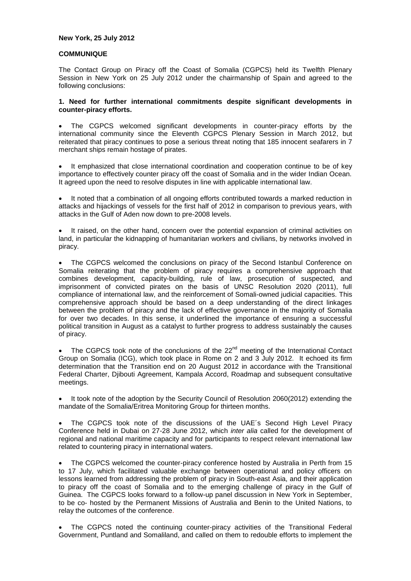### **New York, 25 July 2012**

## **COMMUNIQUE**

The Contact Group on Piracy off the Coast of Somalia (CGPCS) held its Twelfth Plenary Session in New York on 25 July 2012 under the chairmanship of Spain and agreed to the following conclusions:

### **1. Need for further international commitments despite significant developments in counter-piracy efforts.**

 The CGPCS welcomed significant developments in counter-piracy efforts by the international community since the Eleventh CGPCS Plenary Session in March 2012, but reiterated that piracy continues to pose a serious threat noting that 185 innocent seafarers in 7 merchant ships remain hostage of pirates.

 It emphasized that close international coordination and cooperation continue to be of key importance to effectively counter piracy off the coast of Somalia and in the wider Indian Ocean. It agreed upon the need to resolve disputes in line with applicable international law.

 It noted that a combination of all ongoing efforts contributed towards a marked reduction in attacks and hijackings of vessels for the first half of 2012 in comparison to previous years, with attacks in the Gulf of Aden now down to pre-2008 levels.

 It raised, on the other hand, concern over the potential expansion of criminal activities on land, in particular the kidnapping of humanitarian workers and civilians, by networks involved in piracy.

 The CGPCS welcomed the conclusions on piracy of the Second Istanbul Conference on Somalia reiterating that the problem of piracy requires a comprehensive approach that combines development, capacity-building, rule of law, prosecution of suspected, and imprisonment of convicted pirates on the basis of UNSC Resolution 2020 (2011), full compliance of international law, and the reinforcement of Somali-owned judicial capacities. This comprehensive approach should be based on a deep understanding of the direct linkages between the problem of piracy and the lack of effective governance in the majority of Somalia for over two decades. In this sense, it underlined the importance of ensuring a successful political transition in August as a catalyst to further progress to address sustainably the causes of piracy.

The CGPCS took note of the conclusions of the 22<sup>nd</sup> meeting of the International Contact Group on Somalia (ICG), which took place in Rome on 2 and 3 July 2012. It echoed its firm determination that the Transition end on 20 August 2012 in accordance with the Transitional Federal Charter, Djibouti Agreement, Kampala Accord, Roadmap and subsequent consultative meetings.

 It took note of the adoption by the Security Council of Resolution 2060(2012) extending the mandate of the Somalia/Eritrea Monitoring Group for thirteen months.

 The CGPCS took note of the discussions of the UAE´s Second High Level Piracy Conference held in Dubai on 27-28 June 2012, which *inter alia* called for the development of regional and national maritime capacity and for participants to respect relevant international law related to countering piracy in international waters.

 The CGPCS welcomed the counter-piracy conference hosted by Australia in Perth from 15 to 17 July, which facilitated valuable exchange between operational and policy officers on lessons learned from addressing the problem of piracy in South-east Asia, and their application to piracy off the coast of Somalia and to the emerging challenge of piracy in the Gulf of Guinea. The CGPCS looks forward to a follow-up panel discussion in New York in September, to be co- hosted by the Permanent Missions of Australia and Benin to the United Nations, to relay the outcomes of the conference.

 The CGPCS noted the continuing counter-piracy activities of the Transitional Federal Government, Puntland and Somaliland, and called on them to redouble efforts to implement the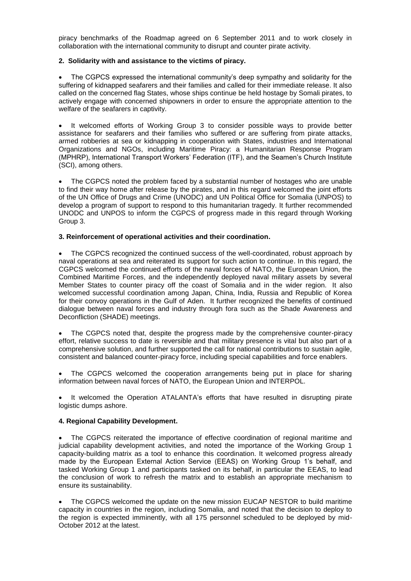piracy benchmarks of the Roadmap agreed on 6 September 2011 and to work closely in collaboration with the international community to disrupt and counter pirate activity.

## **2. Solidarity with and assistance to the victims of piracy.**

 The CGPCS expressed the international community's deep sympathy and solidarity for the suffering of kidnapped seafarers and their families and called for their immediate release. It also called on the concerned flag States, whose ships continue be held hostage by Somali pirates, to actively engage with concerned shipowners in order to ensure the appropriate attention to the welfare of the seafarers in captivity.

 It welcomed efforts of Working Group 3 to consider possible ways to provide better assistance for seafarers and their families who suffered or are suffering from pirate attacks, armed robberies at sea or kidnapping in cooperation with States, industries and International Organizations and NGOs, including Maritime Piracy: a Humanitarian Response Program (MPHRP), International Transport Workers' Federation (ITF), and the Seamen's Church Institute (SCI), among others.

 The CGPCS noted the problem faced by a substantial number of hostages who are unable to find their way home after release by the pirates, and in this regard welcomed the joint efforts of the UN Office of Drugs and Crime (UNODC) and UN Political Office for Somalia (UNPOS) to develop a program of support to respond to this humanitarian tragedy. It further recommended UNODC and UNPOS to inform the CGPCS of progress made in this regard through Working Group 3.

## **3. Reinforcement of operational activities and their coordination.**

 The CGPCS recognized the continued success of the well-coordinated, robust approach by naval operations at sea and reiterated its support for such action to continue. In this regard, the CGPCS welcomed the continued efforts of the naval forces of NATO, the European Union, the Combined Maritime Forces, and the independently deployed naval military assets by several Member States to counter piracy off the coast of Somalia and in the wider region. It also welcomed successful coordination among Japan, China, India, Russia and Republic of Korea for their convoy operations in the Gulf of Aden. It further recognized the benefits of continued dialogue between naval forces and industry through fora such as the Shade Awareness and Deconfliction (SHADE) meetings.

 The CGPCS noted that, despite the progress made by the comprehensive counter-piracy effort, relative success to date is reversible and that military presence is vital but also part of a comprehensive solution, and further supported the call for national contributions to sustain agile, consistent and balanced counter-piracy force, including special capabilities and force enablers.

 The CGPCS welcomed the cooperation arrangements being put in place for sharing information between naval forces of NATO, the European Union and INTERPOL.

 It welcomed the Operation ATALANTA's efforts that have resulted in disrupting pirate logistic dumps ashore.

# **4. Regional Capability Development.**

 The CGPCS reiterated the importance of effective coordination of regional maritime and judicial capability development activities, and noted the importance of the Working Group 1 capacity-building matrix as a tool to enhance this coordination. It welcomed progress already made by the European External Action Service (EEAS) on Working Group 1's behalf, and tasked Working Group 1 and participants tasked on its behalf, in particular the EEAS, to lead the conclusion of work to refresh the matrix and to establish an appropriate mechanism to ensure its sustainability.

 The CGPCS welcomed the update on the new mission EUCAP NESTOR to build maritime capacity in countries in the region, including Somalia, and noted that the decision to deploy to the region is expected imminently, with all 175 personnel scheduled to be deployed by mid-October 2012 at the latest.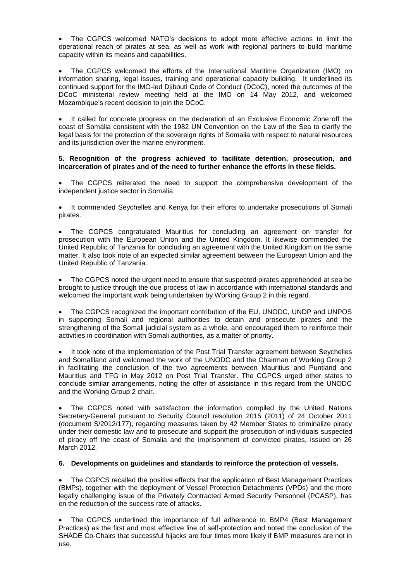The CGPCS welcomed NATO's decisions to adopt more effective actions to limit the operational reach of pirates at sea, as well as work with regional partners to build maritime capacity within its means and capabilities.

 The CGPCS welcomed the efforts of the International Maritime Organization (IMO) on information sharing, legal issues, training and operational capacity building. It underlined its continued support for the IMO-led Djibouti Code of Conduct (DCoC), noted the outcomes of the DCoC ministerial review meeting held at the IMO on 14 May 2012, and welcomed Mozambique's recent decision to join the DCoC.

 It called for concrete progress on the declaration of an Exclusive Economic Zone off the coast of Somalia consistent with the 1982 UN Convention on the Law of the Sea to clarify the legal basis for the protection of the sovereign rights of Somalia with respect to natural resources and its jurisdiction over the marine environment.

## **5. Recognition of the progress achieved to facilitate detention, prosecution, and incarceration of pirates and of the need to further enhance the efforts in these fields.**

 The CGPCS reiterated the need to support the comprehensive development of the independent justice sector in Somalia.

 It commended Seychelles and Kenya for their efforts to undertake prosecutions of Somali pirates.

 The CGPCS congratulated Mauritius for concluding an agreement on transfer for prosecution with the European Union and the United Kingdom. It likewise commended the United Republic of Tanzania for concluding an agreement with the United Kingdom on the same matter. It also took note of an expected similar agreement between the European Union and the United Republic of Tanzania.

 The CGPCS noted the urgent need to ensure that suspected pirates apprehended at sea be brought to justice through the due process of law in accordance with international standards and welcomed the important work being undertaken by Working Group 2 in this regard.

 The CGPCS recognized the important contribution of the EU, UNODC, UNDP and UNPOS in supporting Somali and regional authorities to detain and prosecute pirates and the strengthening of the Somali judicial system as a whole, and encouraged them to reinforce their activities in coordination with Somali authorities, as a matter of priority.

 It took note of the implementation of the Post Trial Transfer agreement between Seychelles and Somaliland and welcomed the work of the UNODC and the Chairman of Working Group 2 in facilitating the conclusion of the two agreements between Mauritius and Puntland and Mauritius and TFG in May 2012 on Post Trial Transfer. The CGPCS urged other states to conclude similar arrangements, noting the offer of assistance in this regard from the UNODC and the Working Group 2 chair.

 The CGPCS noted with satisfaction the information compiled by the United Nations Secretary-General pursuant to Security Council resolution 2015 (2011) of 24 October 2011 (document S/2012/177), regarding measures taken by 42 Member States to criminalize piracy under their domestic law and to prosecute and support the prosecution of individuals suspected of piracy off the coast of Somalia and the imprisonment of convicted pirates, issued on 26 March 2012.

#### **6. Developments on guidelines and standards to reinforce the protection of vessels.**

 The CGPCS recalled the positive effects that the application of Best Management Practices (BMPs), together with the deployment of Vessel Protection Detachments (VPDs) and the more legally challenging issue of the Privately Contracted Armed Security Personnel (PCASP), has on the reduction of the success rate of attacks.

 The CGPCS underlined the importance of full adherence to BMP4 (Best Management Practices) as the first and most effective line of self-protection and noted the conclusion of the SHADE Co-Chairs that successful hijacks are four times more likely if BMP measures are not in use.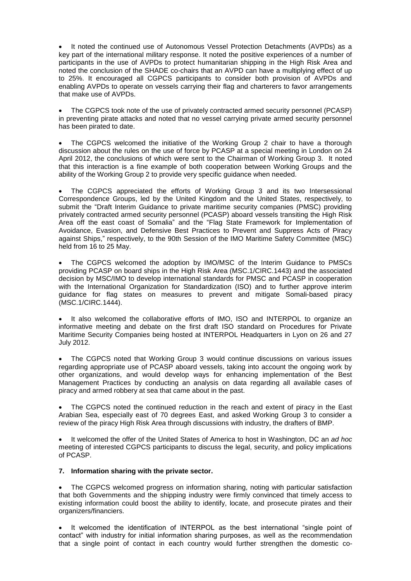It noted the continued use of Autonomous Vessel Protection Detachments (AVPDs) as a key part of the international military response. It noted the positive experiences of a number of participants in the use of AVPDs to protect humanitarian shipping in the High Risk Area and noted the conclusion of the SHADE co-chairs that an AVPD can have a multiplying effect of up to 25%. It encouraged all CGPCS participants to consider both provision of AVPDs and enabling AVPDs to operate on vessels carrying their flag and charterers to favor arrangements that make use of AVPDs.

 The CGPCS took note of the use of privately contracted armed security personnel (PCASP) in preventing pirate attacks and noted that no vessel carrying private armed security personnel has been pirated to date.

 The CGPCS welcomed the initiative of the Working Group 2 chair to have a thorough discussion about the rules on the use of force by PCASP at a special meeting in London on 24 April 2012, the conclusions of which were sent to the Chairman of Working Group 3. It noted that this interaction is a fine example of both cooperation between Working Groups and the ability of the Working Group 2 to provide very specific guidance when needed.

 The CGPCS appreciated the efforts of Working Group 3 and its two Intersessional Correspondence Groups, led by the United Kingdom and the United States, respectively, to submit the "Draft Interim Guidance to private maritime security companies (PMSC) providing privately contracted armed security personnel (PCASP) aboard vessels transiting the High Risk Area off the east coast of Somalia" and the "Flag State Framework for Implementation of Avoidance, Evasion, and Defensive Best Practices to Prevent and Suppress Acts of Piracy against Ships," respectively, to the 90th Session of the IMO Maritime Safety Committee (MSC) held from 16 to 25 May.

 The CGPCS welcomed the adoption by IMO/MSC of the Interim Guidance to PMSCs providing PCASP on board ships in the High Risk Area (MSC.1/CIRC.1443) and the associated decision by MSC/IMO to develop international standards for PMSC and PCASP in cooperation with the International Organization for Standardization (ISO) and to further approve interim guidance for flag states on measures to prevent and mitigate Somali-based piracy (MSC.1/CIRC.1444).

• It also welcomed the collaborative efforts of IMO, ISO and INTERPOL to organize an informative meeting and debate on the first draft ISO standard on Procedures for Private Maritime Security Companies being hosted at INTERPOL Headquarters in Lyon on 26 and 27 July 2012.

 The CGPCS noted that Working Group 3 would continue discussions on various issues regarding appropriate use of PCASP aboard vessels, taking into account the ongoing work by other organizations, and would develop ways for enhancing implementation of the Best Management Practices by conducting an analysis on data regarding all available cases of piracy and armed robbery at sea that came about in the past.

 The CGPCS noted the continued reduction in the reach and extent of piracy in the East Arabian Sea, especially east of 70 degrees East, and asked Working Group 3 to consider a review of the piracy High Risk Area through discussions with industry, the drafters of BMP.

 It welcomed the offer of the United States of America to host in Washington, DC an *ad hoc*  meeting of interested CGPCS participants to discuss the legal, security, and policy implications of PCASP.

# **7. Information sharing with the private sector.**

 The CGPCS welcomed progress on information sharing, noting with particular satisfaction that both Governments and the shipping industry were firmly convinced that timely access to existing information could boost the ability to identify, locate, and prosecute pirates and their organizers/financiers.

 It welcomed the identification of INTERPOL as the best international "single point of contact" with industry for initial information sharing purposes, as well as the recommendation that a single point of contact in each country would further strengthen the domestic co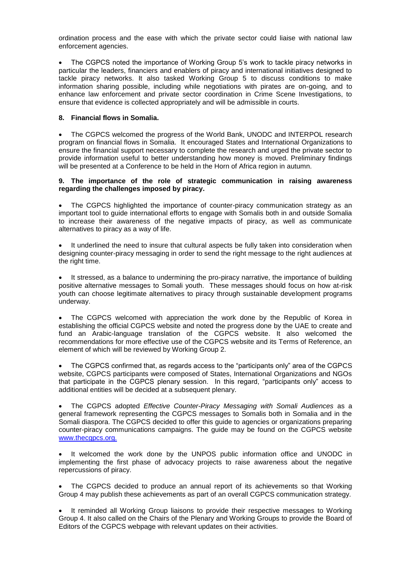ordination process and the ease with which the private sector could liaise with national law enforcement agencies.

 The CGPCS noted the importance of Working Group 5's work to tackle piracy networks in particular the leaders, financiers and enablers of piracy and international initiatives designed to tackle piracy networks. It also tasked Working Group 5 to discuss conditions to make information sharing possible, including while negotiations with pirates are on-going, and to enhance law enforcement and private sector coordination in Crime Scene Investigations, to ensure that evidence is collected appropriately and will be admissible in courts.

## **8. Financial flows in Somalia.**

 The CGPCS welcomed the progress of the World Bank, UNODC and INTERPOL research program on financial flows in Somalia. It encouraged States and International Organizations to ensure the financial support necessary to complete the research and urged the private sector to provide information useful to better understanding how money is moved. Preliminary findings will be presented at a Conference to be held in the Horn of Africa region in autumn.

### **9. The importance of the role of strategic communication in raising awareness regarding the challenges imposed by piracy.**

 The CGPCS highlighted the importance of counter-piracy communication strategy as an important tool to guide international efforts to engage with Somalis both in and outside Somalia to increase their awareness of the negative impacts of piracy, as well as communicate alternatives to piracy as a way of life.

 It underlined the need to insure that cultural aspects be fully taken into consideration when designing counter-piracy messaging in order to send the right message to the right audiences at the right time.

 It stressed, as a balance to undermining the pro-piracy narrative, the importance of building positive alternative messages to Somali youth. These messages should focus on how at-risk youth can choose legitimate alternatives to piracy through sustainable development programs underway.

 The CGPCS welcomed with appreciation the work done by the Republic of Korea in establishing the official CGPCS website and noted the progress done by the UAE to create and fund an Arabic-language translation of the CGPCS website. It also welcomed the recommendations for more effective use of the CGPCS website and its Terms of Reference, an element of which will be reviewed by Working Group 2.

 The CGPCS confirmed that, as regards access to the "participants only" area of the CGPCS website, CGPCS participants were composed of States, International Organizations and NGOs that participate in the CGPCS plenary session. In this regard, "participants only" access to additional entities will be decided at a subsequent plenary.

 The CGPCS adopted *Effective Counter-Piracy Messaging with Somali Audiences* as a general framework representing the CGPCS messages to Somalis both in Somalia and in the Somali diaspora. The CGPCS decided to offer this guide to agencies or organizations preparing counter-piracy communications campaigns. The guide may be found on the CGPCS website [www.thecgpcs.org.](http://www.thecgpcs.org)

 It welcomed the work done by the UNPOS public information office and UNODC in implementing the first phase of advocacy projects to raise awareness about the negative repercussions of piracy.

 The CGPCS decided to produce an annual report of its achievements so that Working Group 4 may publish these achievements as part of an overall CGPCS communication strategy.

 It reminded all Working Group liaisons to provide their respective messages to Working Group 4. It also called on the Chairs of the Plenary and Working Groups to provide the Board of Editors of the CGPCS webpage with relevant updates on their activities.